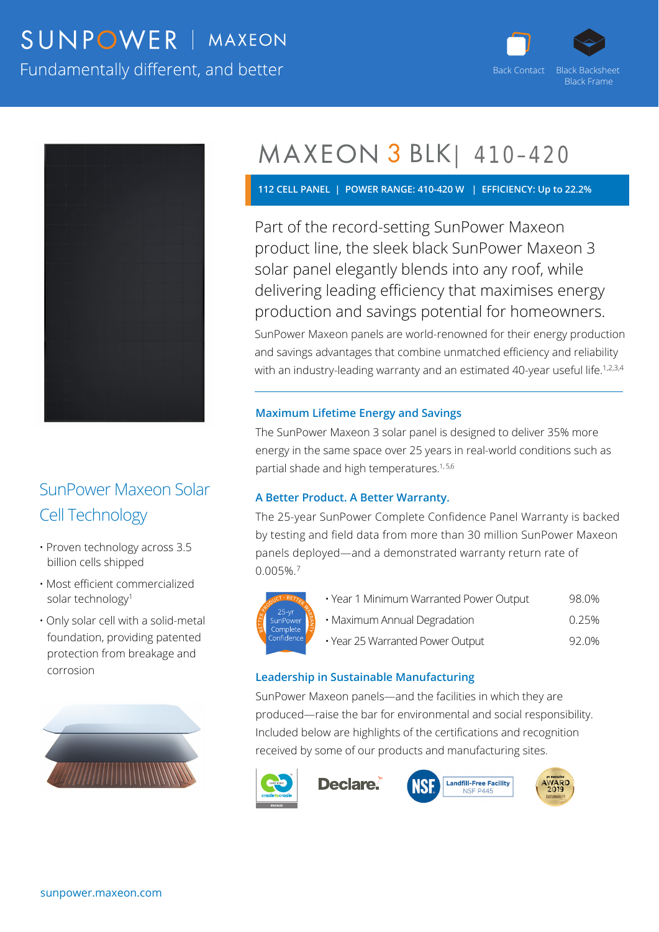## SUNPOWER | MAXEON

Fundamentally different, and better





### SunPower Maxeon Solar Cell Technology

- Proven technology across 3.5 billion cells shipped
- Most efficient commercialized solar technology<sup>1</sup>
- Only solar cell with a solid-metal foundation, providing patented protection from breakage and corrosion



## MAXEON 3 BLK | 410-420

**112 CELL PANEL | POWER RANGE: 410-420 W | EFFICIENCY: Up to 22.2%** 

Part of the record-setting SunPower Maxeon product line, the sleek black SunPower Maxeon 3 solar panel elegantly blends into any roof, while delivering leading efficiency that maximises energy production and savings potential for homeowners.

SunPower Maxeon panels are world-renowned for their energy production and savings advantages that combine unmatched efficiency and reliability with an industry-leading warranty and an estimated 40-year useful life.<sup>1,2,3,4</sup>

#### **Maximum Lifetime Energy and Savings**

The SunPower Maxeon 3 solar panel is designed to deliver 35% more energy in the same space over 25 years in real-world conditions such as partial shade and high temperatures.<sup>1, 5,6</sup>

#### **A Better Product. A Better Warranty.**

The 25-year SunPower Complete Confidence Panel Warranty is backed by testing and field data from more than 30 million SunPower Maxeon panels deployed—and a demonstrated warranty return rate of 0.005%.7



| · Year 1 Minimum Warranted Power Output | 98.0% |
|-----------------------------------------|-------|
| • Maximum Annual Degradation            | 0.25% |
| · Year 25 Warranted Power Output        | 92.0% |

**Landfill-Free Facility** 

**NSF P445** 

#### **Leadership in Sustainable Manufacturing**

SunPower Maxeon panels—and the facilities in which they are produced—raise the bar for environmental and social responsibility. Included below are highlights of the certifications and recognition received by some of our products and manufacturing sites.



**Declare**